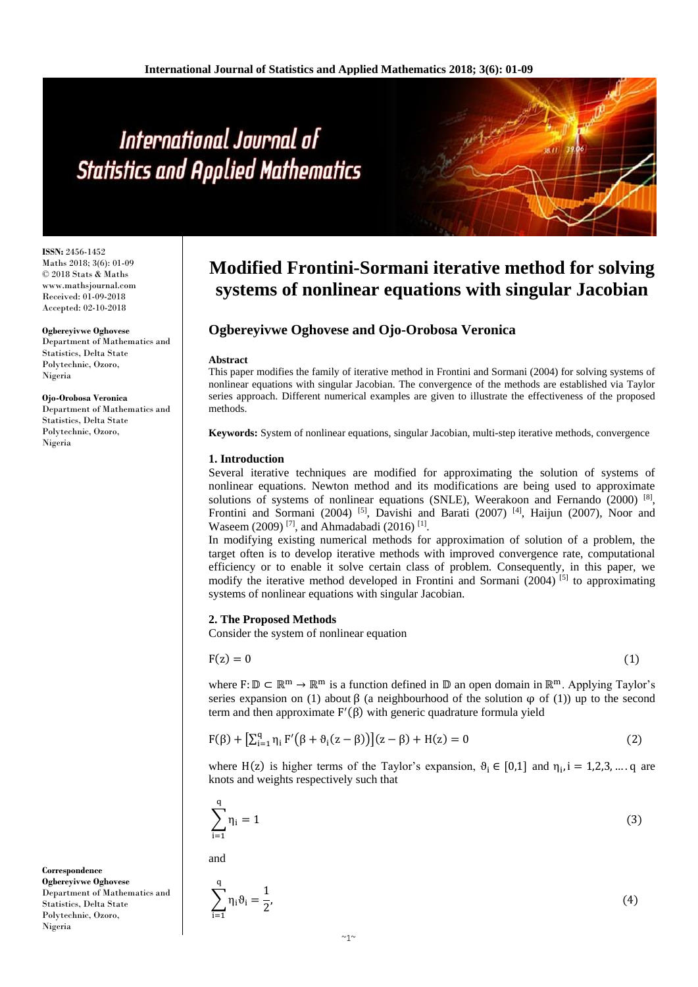**ISSN:** 2456-1452 Maths 2018; 3(6): 01-09 © 2018 Stats & Maths www.mathsjournal.com Received: 01-09-2018 Accepted: 02-10-2018

**Ogbereyivwe Oghovese** Department of Mathematics and Statistics, Delta State Polytechnic, Ozoro, Nigeria

#### **Ojo-Orobosa Veronica**

Department of Mathematics and Statistics, Delta State Polytechnic, Ozoro, Nigeria

#### **Correspondence Ogbereyivwe Oghovese** Department of Mathematics and Statistics, Delta State Polytechnic, Ozoro, Nigeria

# **Modified Frontini-Sormani iterative method for solving systems of nonlinear equations with singular Jacobian**

# **Ogbereyivwe Oghovese and Ojo-Orobosa Veronica**

#### **Abstract**

This paper modifies the family of iterative method in Frontini and Sormani (2004) for solving systems of nonlinear equations with singular Jacobian. The convergence of the methods are established via Taylor series approach. Different numerical examples are given to illustrate the effectiveness of the proposed methods.

**Keywords:** System of nonlinear equations, singular Jacobian, multi-step iterative methods, convergence

#### **1. Introduction**

Several iterative techniques are modified for approximating the solution of systems of nonlinear equations. Newton method and its modifications are being used to approximate solutions of systems of nonlinear equations (SNLE), Weerakoon and Fernando (2000)<sup>[8]</sup>, Frontini and Sormani (2004) <sup>[5]</sup>, Davishi and Barati (2007) <sup>[4]</sup>, Haijun (2007), Noor and Waseem (2009)<sup>[7]</sup>, and Ahmadabadi (2016)<sup>[1]</sup>.

In modifying existing numerical methods for approximation of solution of a problem, the target often is to develop iterative methods with improved convergence rate, computational efficiency or to enable it solve certain class of problem. Consequently, in this paper, we modify the iterative method developed in Frontini and Sormani (2004)  $[5]$  to approximating systems of nonlinear equations with singular Jacobian.

## **2. The Proposed Methods**

Consider the system of nonlinear equation

$$
F(z) = 0 \tag{1}
$$

where  $F: \mathbb{D} \subset \mathbb{R}^m \to \mathbb{R}^m$  is a function defined in  $\mathbb{D}$  an open domain in  $\mathbb{R}^m$ . Applying Taylor's series expansion on (1) about  $\beta$  (a neighbourhood of the solution  $\varphi$  of (1)) up to the second term and then approximate F ′ (β) with generic quadrature formula yield

$$
F(\beta) + \left[\sum_{i=1}^{q} \eta_i F'(\beta + \vartheta_i(z - \beta))\right](z - \beta) + H(z) = 0
$$
 (2)

where H(z) is higher terms of the Taylor's expansion,  $\theta_i \in [0,1]$  and  $\eta_i$ , i = 1,2,3, ... q are knots and weights respectively such that

$$
\sum_{i=1}^{q} \eta_i = 1\tag{3}
$$

and

$$
\sum_{i=1}^{q} \eta_i \vartheta_i = \frac{1}{2},\tag{4}
$$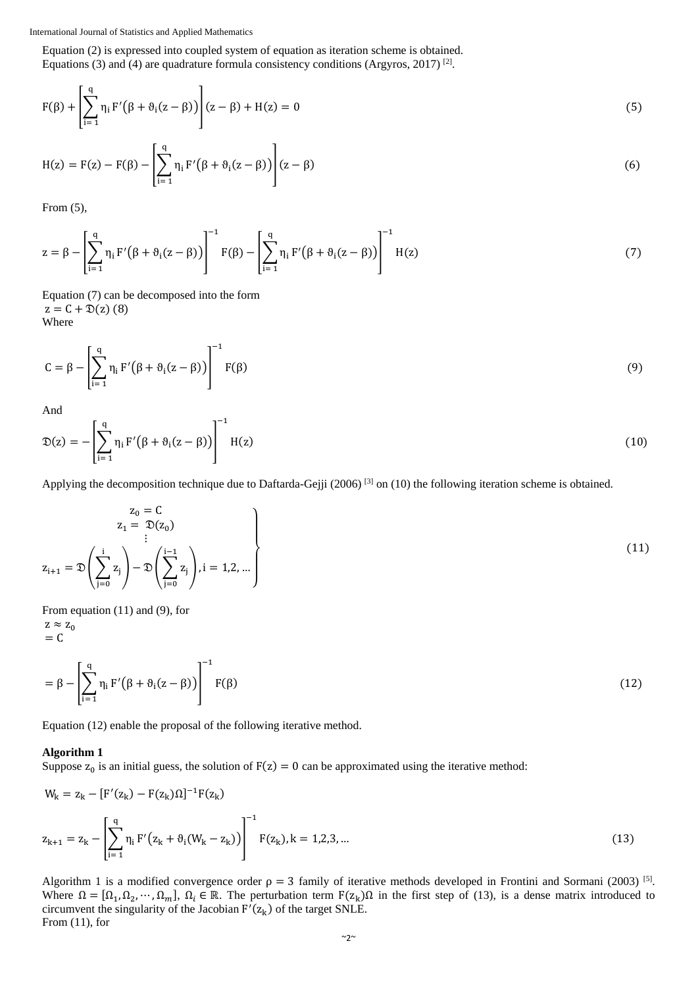Equation (2) is expressed into coupled system of equation as iteration scheme is obtained. Equations (3) and (4) are quadrature formula consistency conditions (Argyros, 2017)<sup>[2]</sup>.

$$
F(\beta) + \left[ \sum_{i=1}^{q} \eta_i F'(\beta + \vartheta_i(z - \beta)) \right] (z - \beta) + H(z) = 0
$$
 (5)

$$
H(z) = F(z) - F(\beta) - \left[\sum_{i=1}^{q} \eta_i F'(\beta + \vartheta_i(z - \beta))\right](z - \beta)
$$
\n(6)

From (5),

$$
z = \beta - \left[\sum_{i=1}^{q} \eta_i F'(\beta + \vartheta_i(z - \beta))\right]^{-1} F(\beta) - \left[\sum_{i=1}^{q} \eta_i F'(\beta + \vartheta_i(z - \beta))\right]^{-1} H(z)
$$
\n(7)

Equation (7) can be decomposed into the form  $z = C + \mathfrak{D}(z)$  (8) Where

$$
C = \beta - \left[ \sum_{i=1}^{q} \eta_i F'(\beta + \vartheta_i(z - \beta)) \right]^{-1} F(\beta)
$$
\n(9)

And

$$
\mathfrak{D}(z) = -\left[\sum_{i=1}^{q} \eta_i F'(\beta + \vartheta_i(z - \beta))\right]^{-1} H(z)
$$
\n(10)

Applying the decomposition technique due to Daftarda-Gejji (2006)  $^{[3]}$  on (10) the following iteration scheme is obtained.

$$
z_0 = C
$$
  
\n
$$
z_1 = \mathfrak{D}(z_0)
$$
  
\n
$$
\vdots
$$
  
\n
$$
z_{i+1} = \mathfrak{D}\left(\sum_{j=0}^{i} z_j\right) - \mathfrak{D}\left(\sum_{j=0}^{i-1} z_j\right), i = 1, 2, \dots
$$
\n(11)

From equation (11) and (9), for

 $z \approx z_0$  $= C$ 

$$
= \beta - \left[ \sum_{i=1}^{q} \eta_i F'(\beta + \vartheta_i(z - \beta)) \right]^{-1} F(\beta)
$$
\n(12)

Equation (12) enable the proposal of the following iterative method.

## **Algorithm 1**

Suppose  $z_0$  is an initial guess, the solution of  $F(z) = 0$  can be approximated using the iterative method:

$$
W_{k} = z_{k} - [F'(z_{k}) - F(z_{k})\Omega]^{-1}F(z_{k})
$$
  

$$
z_{k+1} = z_{k} - \left[\sum_{i=1}^{q} \eta_{i} F'(z_{k} + \vartheta_{i}(W_{k} - z_{k}))\right]^{-1} F(z_{k}), k = 1, 2, 3, ...
$$
 (13)

Algorithm 1 is a modified convergence order  $\rho = 3$  family of iterative methods developed in Frontini and Sormani (2003) <sup>[5]</sup>. Where  $\Omega = [\Omega_1, \Omega_2, \cdots, \Omega_m]$ ,  $\Omega_i \in \mathbb{R}$ . The perturbation term  $F(z_k)\Omega$  in the first step of (13), is a dense matrix introduced to circumvent the singularity of the Jacobian  $F'(z_k)$  of the target SNLE. From (11), for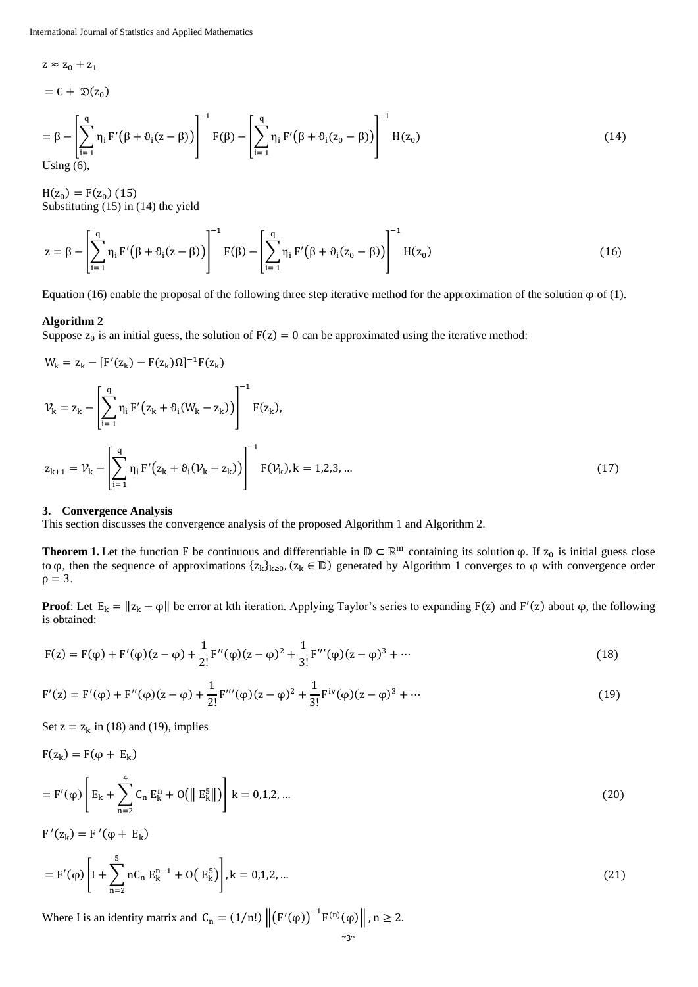$$
= C + \mathfrak{D}(z_0)
$$
  
=  $\beta - \left[ \sum_{i=1}^{q} \eta_i F'(\beta + \vartheta_i(z - \beta)) \right]^{-1} F(\beta) - \left[ \sum_{i=1}^{q} \eta_i F'(\beta + \vartheta_i(z_0 - \beta)) \right]^{-1} H(z_0)$   
Using (6), (14)

 $H(z_0) = F(z_0)$  (15) Substituting (15) in (14) the yield

$$
z = \beta - \left[ \sum_{i=1}^{q} \eta_i F'(\beta + \vartheta_i(z - \beta)) \right]^{-1} F(\beta) - \left[ \sum_{i=1}^{q} \eta_i F'(\beta + \vartheta_i(z_0 - \beta)) \right]^{-1} H(z_0)
$$
(16)

Equation (16) enable the proposal of the following three step iterative method for the approximation of the solution  $\varphi$  of (1).

#### **Algorithm 2**

 $z \approx z_0 + z_1$ 

Suppose  $z_0$  is an initial guess, the solution of  $F(z) = 0$  can be approximated using the iterative method:

$$
W_{k} = z_{k} - [F'(z_{k}) - F(z_{k})\Omega]^{-1}F(z_{k})
$$
  
\n
$$
\mathcal{V}_{k} = z_{k} - \left[\sum_{i=1}^{q} \eta_{i} F'(z_{k} + \vartheta_{i}(W_{k} - z_{k}))\right]^{-1} F(z_{k}),
$$
  
\n
$$
z_{k+1} = \mathcal{V}_{k} - \left[\sum_{i=1}^{q} \eta_{i} F'(z_{k} + \vartheta_{i}(\mathcal{V}_{k} - z_{k}))\right]^{-1} F(\mathcal{V}_{k}), k = 1, 2, 3, ...
$$
\n(17)

#### **3. Convergence Analysis**

This section discusses the convergence analysis of the proposed Algorithm 1 and Algorithm 2.

**Theorem 1.** Let the function F be continuous and differentiable in  $\mathbb{D} \subset \mathbb{R}^m$  containing its solution  $\varphi$ . If  $z_0$  is initial guess close to φ, then the sequence of approximations  $\{z_k\}_{k\geq 0}$ ,  $(z_k \in \mathbb{D})$  generated by Algorithm 1 converges to φ with convergence order  $\rho = 3$ .

**Proof**: Let  $E_k = ||z_k - \varphi||$  be error at kth iteration. Applying Taylor's series to expanding F(z) and F'(z) about  $\varphi$ , the following is obtained:

$$
F(z) = F(\varphi) + F'(\varphi)(z - \varphi) + \frac{1}{2!}F''(\varphi)(z - \varphi)^2 + \frac{1}{3!}F'''(\varphi)(z - \varphi)^3 + \cdots
$$
\n(18)

$$
F'(z) = F'(\phi) + F''(\phi)(z - \phi) + \frac{1}{2!}F'''(\phi)(z - \phi)^2 + \frac{1}{3!}F^{iv}(\phi)(z - \phi)^3 + \cdots
$$
\n(19)

Set  $z = z_k$  in (18) and (19), implies

$$
F(z_k) = F(\varphi + E_k)
$$
  
=  $F'(\varphi) \left[ E_k + \sum_{n=2}^{4} C_n E_k^n + O(||E_k^5||) \right] k = 0,1,2,...$  (20)

 $F'(z_k) = F'(\varphi + E_k)$ 

$$
= F'(\varphi) \left[ I + \sum_{n=2}^{5} nC_n E_k^{n-1} + O(E_k^5) \right], k = 0, 1, 2, ... \tag{21}
$$

Where I is an identity matrix and  $C_n = (1/n!) ||(F'(\varphi))^{-1}F^{(n)}(\varphi)||$ ,  $n \ge 2$ .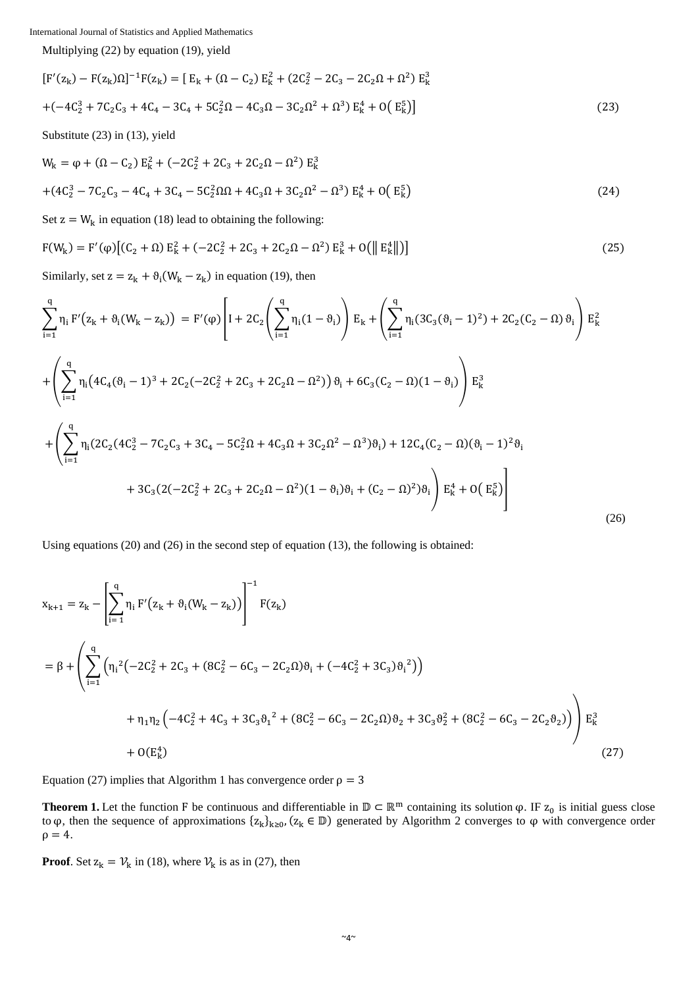Multiplying (22) by equation (19), yield

$$
[F'(z_k) - F(z_k)\Omega]^{-1}F(z_k) = [E_k + (\Omega - C_2) E_k^2 + (2C_2^2 - 2C_3 - 2C_2\Omega + \Omega^2) E_k^3
$$
  
 
$$
+ (-4C_2^3 + 7C_2C_3 + 4C_4 - 3C_4 + 5C_2^2\Omega - 4C_3\Omega - 3C_2\Omega^2 + \Omega^3) E_k^4 + O(E_k^5)]
$$
 (23)

Substitute (23) in (13), yield

$$
W_{k} = \varphi + (\Omega - C_{2}) E_{k}^{2} + (-2C_{2}^{2} + 2C_{3} + 2C_{2}\Omega - \Omega^{2}) E_{k}^{3}
$$
  
 
$$
+ (4C_{2}^{3} - 7C_{2}C_{3} - 4C_{4} + 3C_{4} - 5C_{2}^{2}\Omega\Omega + 4C_{3}\Omega + 3C_{2}\Omega^{2} - \Omega^{3}) E_{k}^{4} + O(E_{k}^{5})
$$
(24)

Set  $z = W_k$  in equation (18) lead to obtaining the following:

$$
F(W_k) = F'(\varphi) \left[ (C_2 + \Omega) E_k^2 + (-2C_2^2 + 2C_3 + 2C_2\Omega - \Omega^2) E_k^3 + O(\| E_k^4 \|) \right]
$$
(25)

Similarly, set  $z = z_k + \vartheta_i(W_k - z_k)$  in equation (19), then

$$
\sum_{i=1}^{q} \eta_{i} F'(z_{k} + \vartheta_{i}(W_{k} - z_{k})) = F'(\varphi) \left[ I + 2C_{2} \left( \sum_{i=1}^{q} \eta_{i} (1 - \vartheta_{i}) \right) E_{k} + \left( \sum_{i=1}^{q} \eta_{i} (3C_{3}(\vartheta_{i} - 1)^{2}) + 2C_{2}(C_{2} - \Omega) \vartheta_{i} \right) E_{k}^{2} + \left( \sum_{i=1}^{q} \eta_{i} (4C_{4}(\vartheta_{i} - 1)^{3} + 2C_{2}(-2C_{2}^{2} + 2C_{3} + 2C_{2}\Omega - \Omega^{2})) \vartheta_{i} + 6C_{3}(C_{2} - \Omega)(1 - \vartheta_{i}) \right) E_{k}^{3} + \left( \sum_{i=1}^{q} \eta_{i} (2C_{2}(4C_{2}^{3} - 7C_{2}C_{3} + 3C_{4} - 5C_{2}^{2}\Omega + 4C_{3}\Omega + 3C_{2}\Omega^{2} - \Omega^{3}) \vartheta_{i} \right) + 12C_{4}(C_{2} - \Omega)(\vartheta_{i} - 1)^{2} \vartheta_{i} + 3C_{3}(2(-2C_{2}^{2} + 2C_{3} + 2C_{2}\Omega - \Omega^{2})(1 - \vartheta_{i})\vartheta_{i} + (C_{2} - \Omega)^{2}) \vartheta_{i} \right) E_{k}^{4} + O(E_{k}^{5}) \right]
$$
\n(26)

Using equations (20) and (26) in the second step of equation (13), the following is obtained:

$$
x_{k+1} = z_k - \left[ \sum_{i=1}^{q} \eta_i F'(z_k + \vartheta_i (W_k - z_k)) \right]^{-1} F(z_k)
$$
  
\n
$$
= \beta + \left( \sum_{i=1}^{q} \left( \eta_i^2 \left( -2C_2^2 + 2C_3 + (8C_2^2 - 6C_3 - 2C_2 \Omega) \vartheta_i + (-4C_2^2 + 3C_3) \vartheta_i^2 \right) \right) + \eta_1 \eta_2 \left( -4C_2^2 + 4C_3 + 3C_3 \vartheta_1^2 + (8C_2^2 - 6C_3 - 2C_2 \Omega) \vartheta_2 + 3C_3 \vartheta_2^2 + (8C_2^2 - 6C_3 - 2C_2 \vartheta_2) \right) \right) E_k^3
$$
  
\n
$$
+ O(E_k^4)
$$
\n(27)

Equation (27) implies that Algorithm 1 has convergence order  $\rho = 3$ 

**Theorem 1.** Let the function F be continuous and differentiable in  $\mathbb{D} \subset \mathbb{R}^m$  containing its solution  $\varphi$ . IF  $z_0$  is initial guess close to φ, then the sequence of approximations  $\{z_k\}_{k\geq 0}$ ,  $(z_k \in \mathbb{D})$  generated by Algorithm 2 converges to φ with convergence order  $\rho = 4.$ 

**Proof**. Set  $z_k = V_k$  in (18), where  $V_k$  is as in (27), then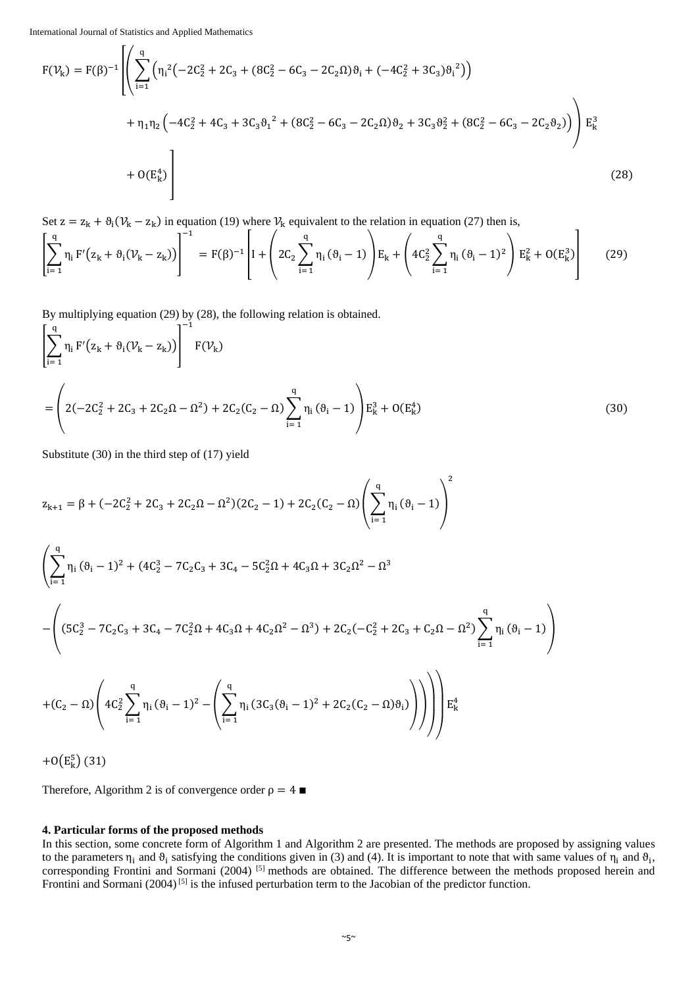$\mathsf{r}$  /

$$
F(\mathcal{V}_{k}) = F(\beta)^{-1} \left[ \left( \sum_{i=1}^{q} \left( \eta_{i}^{2} \left( -2C_{2}^{2} + 2C_{3} + (8C_{2}^{2} - 6C_{3} - 2C_{2}\Omega)\vartheta_{i} + (-4C_{2}^{2} + 3C_{3})\vartheta_{i}^{2} \right) \right) + \eta_{1}\eta_{2} \left( -4C_{2}^{2} + 4C_{3} + 3C_{3}\vartheta_{1}^{2} + (8C_{2}^{2} - 6C_{3} - 2C_{2}\Omega)\vartheta_{2} + 3C_{3}\vartheta_{2}^{2} + (8C_{2}^{2} - 6C_{3} - 2C_{2}\vartheta_{2}) \right) \right) E_{k}^{3} + O(E_{k}^{4}) \right]
$$
\n(28)

Set  $z = z_k + \vartheta_i (\mathcal{V}_k - z_k)$  in equation (19) where  $\mathcal{V}_k$  equivalent to the relation in equation (27) then is,

$$
\left[\sum_{i=1}^{q} \eta_{i} F'(z_{k} + \vartheta_{i}(\nu_{k} - z_{k}))\right]^{-1} = F(\beta)^{-1} \left[ I + \left(2C_{2} \sum_{i=1}^{q} \eta_{i} (\vartheta_{i} - 1) \right) E_{k} + \left(4C_{2}^{2} \sum_{i=1}^{q} \eta_{i} (\vartheta_{i} - 1)^{2} \right) E_{k}^{2} + O(E_{k}^{3}) \right]
$$
(29)

By multiplying equation (29) by (28), the following relation is obtained.

$$
\left[\sum_{i=1}^{q} \eta_{i} F'(z_{k} + \vartheta_{i}(\nu_{k} - z_{k}))\right]^{-1} F(\nu_{k})
$$
\n
$$
= \left(2(-2C_{2}^{2} + 2C_{3} + 2C_{2}\Omega - \Omega^{2}) + 2C_{2}(C_{2} - \Omega)\sum_{i=1}^{q} \eta_{i} (\vartheta_{i} - 1)\right) E_{k}^{3} + O(E_{k}^{4})
$$
\n(30)

Substitute (30) in the third step of (17) yield

$$
z_{k+1} = \beta + (-2C_2^2 + 2C_3 + 2C_2\Omega - \Omega^2)(2C_2 - 1) + 2C_2(C_2 - \Omega)\left(\sum_{i=1}^q \eta_i\left(\vartheta_i - 1\right)\right)^2
$$

$$
\left(\sum_{i=1}^{q} \eta_i (\vartheta_i - 1)^2 + (4C_2^3 - 7C_2C_3 + 3C_4 - 5C_2^2\Omega + 4C_3\Omega + 3C_2\Omega^2 - \Omega^3 \right)
$$

$$
-\left( (5C_2^3 - 7C_2C_3 + 3C_4 - 7C_2^2\Omega + 4C_3\Omega + 4C_2\Omega^2 - \Omega^3) + 2C_2(-C_2^2 + 2C_3 + C_2\Omega - \Omega^2) \sum_{i=1}^{q} \eta_i (\vartheta_i - 1) \right)
$$

$$
+(C_2-\Omega)\left(4C_2^2\sum_{i=1}^q\eta_i\,(\vartheta_i-1)^2-\left(\sum_{i=1}^q\eta_i\,(3C_3(\vartheta_i-1)^2+2C_2(C_2-\Omega)\vartheta_i)\right)\right)\right)\mathbb{E}^4_k
$$

 $+0(E_k^5)(31)$ 

Therefore, Algorithm 2 is of convergence order  $\rho = 4 \blacksquare$ 

# **4. Particular forms of the proposed methods**

In this section, some concrete form of Algorithm 1 and Algorithm 2 are presented. The methods are proposed by assigning values to the parameters  $\eta_i$  and  $\theta_i$  satisfying the conditions given in (3) and (4). It is important to note that with same values of  $\eta_i$  and  $\theta_i$ , corresponding Frontini and Sormani (2004) <sup>[5]</sup> methods are obtained. The difference between the methods proposed herein and Frontini and Sormani (2004)<sup>[5]</sup> is the infused perturbation term to the Jacobian of the predictor function.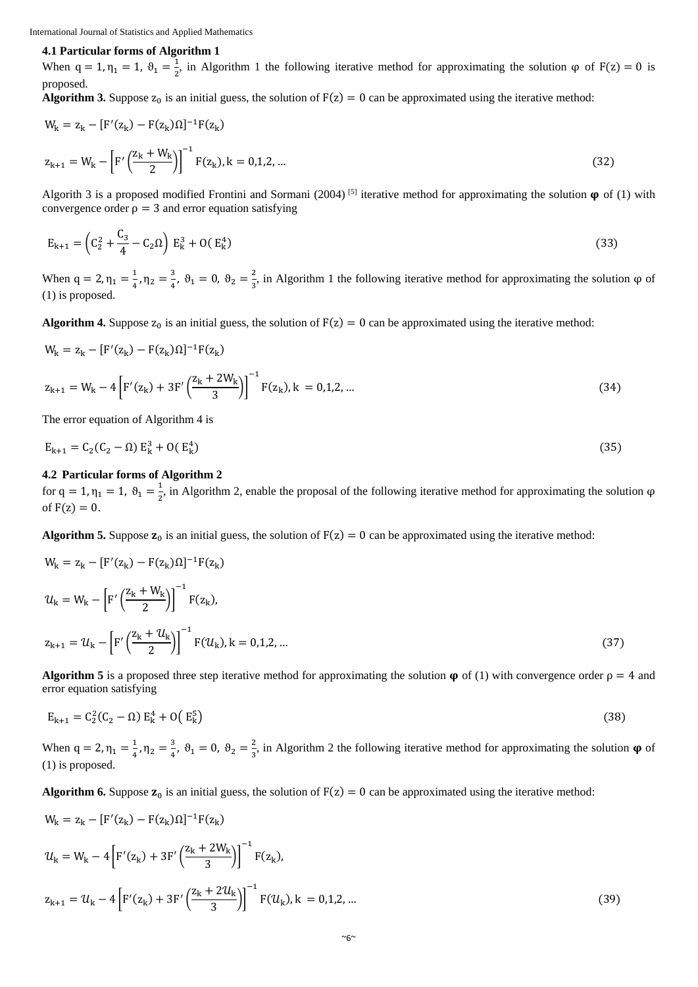# **4.1 Particular forms of Algorithm 1**

When  $q = 1, \eta_1 = 1, \vartheta_1 = \frac{1}{2}$  $\frac{1}{2}$ , in Algorithm 1 the following iterative method for approximating the solution  $\varphi$  of F(z) = 0 is proposed.

**Algorithm 3.** Suppose  $z_0$  is an initial guess, the solution of  $F(z) = 0$  can be approximated using the iterative method:

$$
W_{k} = z_{k} - [F'(z_{k}) - F(z_{k})\Omega]^{-1}F(z_{k})
$$
  

$$
z_{k+1} = W_{k} - \left[F'\left(\frac{z_{k} + W_{k}}{2}\right)\right]^{-1}F(z_{k}), k = 0, 1, 2, ...
$$
 (32)

Algorith 3 is a proposed modified Frontini and Sormani (2004)<sup>[5]</sup> iterative method for approximating the solution  $\varphi$  of (1) with convergence order  $\rho = 3$  and error equation satisfying

$$
E_{k+1} = \left(C_2^2 + \frac{C_3}{4} - C_2 \Omega\right) E_k^3 + O(E_k^4)
$$
\n(33)

When  $q = 2, \eta_1 = \frac{1}{4}$  $\frac{1}{4}$ ,  $\eta_2 = \frac{3}{4}$  $\frac{3}{4}$ ,  $\vartheta_1 = 0$ ,  $\vartheta_2 = \frac{2}{3}$  $\frac{2}{3}$ , in Algorithm 1 the following iterative method for approximating the solution φ of (1) is proposed.

**Algorithm 4.** Suppose  $z_0$  is an initial guess, the solution of  $F(z) = 0$  can be approximated using the iterative method:

$$
W_{k} = z_{k} - [F'(z_{k}) - F(z_{k})\Omega]^{-1}F(z_{k})
$$
  
\n
$$
z_{k+1} = W_{k} - 4\left[F'(z_{k}) + 3F'\left(\frac{z_{k} + 2W_{k}}{3}\right)\right]^{-1}F(z_{k}), k = 0, 1, 2, ...
$$
\n(34)

The error equation of Algorithm 4 is

$$
E_{k+1} = C_2(C_2 - \Omega) E_k^3 + O(E_k^4)
$$
\n(35)

# **4.2 Particular forms of Algorithm 2**

for  $q = 1, \eta_1 = 1, \vartheta_1 = \frac{1}{2}$  $\frac{1}{2}$ , in Algorithm 2, enable the proposal of the following iterative method for approximating the solution  $\varphi$ of  $F(z) = 0$ .

**Algorithm 5.** Suppose  $z_0$  is an initial guess, the solution of  $F(z) = 0$  can be approximated using the iterative method:

$$
W_{k} = z_{k} - [F'(z_{k}) - F(z_{k})\Omega]^{-1}F(z_{k})
$$
  
\n
$$
u_{k} = W_{k} - \left[F'\left(\frac{z_{k} + W_{k}}{2}\right)\right]^{-1} F(z_{k}),
$$
  
\n
$$
z_{k+1} = u_{k} - \left[F'\left(\frac{z_{k} + u_{k}}{2}\right)\right]^{-1} F(u_{k}), k = 0, 1, 2, ...
$$
\n(37)

**Algorithm 5** is a proposed three step iterative method for approximating the solution  $\varphi$  of (1) with convergence order  $\rho = 4$  and error equation satisfying

$$
E_{k+1} = C_2^2 (C_2 - \Omega) E_k^4 + O(E_k^5)
$$
\n(38)

When  $q = 2, \eta_1 = \frac{1}{4}$  $\frac{1}{4}$ ,  $\eta_2 = \frac{3}{4}$  $\frac{3}{4}$ ,  $\vartheta_1 = 0$ ,  $\vartheta_2 = \frac{2}{3}$  $\frac{2}{3}$ , in Algorithm 2 the following iterative method for approximating the solution  $\varphi$  of (1) is proposed.

**Algorithm 6.** Suppose  $z_0$  is an initial guess, the solution of  $F(z) = 0$  can be approximated using the iterative method:

$$
W_{k} = z_{k} - [F'(z_{k}) - F(z_{k})\Omega]^{-1}F(z_{k})
$$
  
\n
$$
\mathcal{U}_{k} = W_{k} - 4\left[F'(z_{k}) + 3F'\left(\frac{z_{k} + 2W_{k}}{3}\right)\right]^{-1}F(z_{k}),
$$
  
\n
$$
z_{k+1} = \mathcal{U}_{k} - 4\left[F'(z_{k}) + 3F'\left(\frac{z_{k} + 2U_{k}}{3}\right)\right]^{-1}F(\mathcal{U}_{k}), k = 0, 1, 2, ...
$$
\n(39)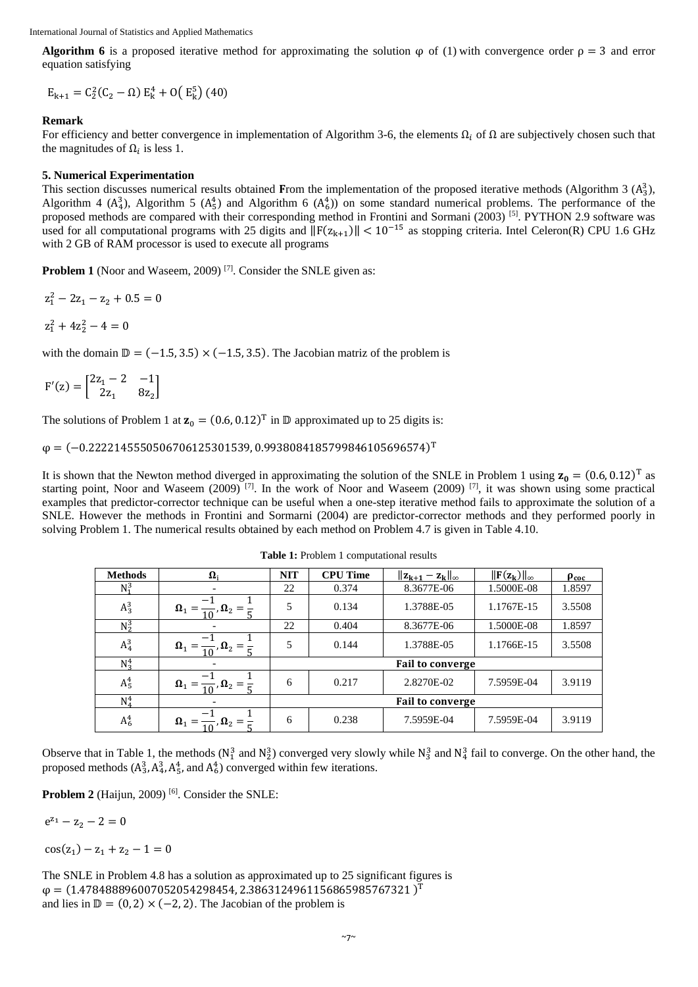**Algorithm 6** is a proposed iterative method for approximating the solution  $\varphi$  of (1) with convergence order  $\rho = 3$  and error equation satisfying

 $E_{k+1} = C_2^2(C_2 - \Omega) E_k^4 + O(E_k^5)$  (40)

# **Remark**

For efficiency and better convergence in implementation of Algorithm 3-6, the elements  $\Omega_i$  of  $\Omega$  are subjectively chosen such that the magnitudes of  $\Omega_i$  is less 1.

# **5. Numerical Experimentation**

This section discusses numerical results obtained From the implementation of the proposed iterative methods (Algorithm 3  $(A_3^3)$ , Algorithm 4 ( $A_4^3$ ), Algorithm 5 ( $A_5^4$ ) and Algorithm 6 ( $A_6^4$ )) on some standard numerical problems. The performance of the proposed methods are compared with their corresponding method in Frontini and Sormani (2003) [5]. PYTHON 2.9 software was used for all computational programs with 25 digits and  $||F(z_{k+1})|| < 10^{-15}$  as stopping criteria. Intel Celeron(R) CPU 1.6 GHz with 2 GB of RAM processor is used to execute all programs

**Problem 1** (Noor and Waseem, 2009)<sup>[7]</sup>. Consider the SNLE given as:

$$
z_1^2 - 2z_1 - z_2 + 0.5 = 0
$$
  

$$
z_1^2 + 4z_2^2 - 4 = 0
$$

with the domain  $\mathbb{D} = (-1.5, 3.5) \times (-1.5, 3.5)$ . The Jacobian matriz of the problem is

$$
F'(z) = \begin{bmatrix} 2z_1 - 2 & -1 \\ 2z_1 & 8z_2 \end{bmatrix}
$$

The solutions of Problem 1 at  $\mathbf{z}_0 = (0.6, 0.12)^T$  in  $\mathbb{D}$  approximated up to 25 digits is:

 $\varphi = (-0.2222145550506706125301539, 0.9938084185799846105696574)^T$ 

It is shown that the Newton method diverged in approximating the solution of the SNLE in Problem 1 using  $z_0 = (0.6, 0.12)^T$  as starting point, Noor and Waseem (2009) [7]. In the work of Noor and Waseem (2009) [7], it was shown using some practical examples that predictor-corrector technique can be useful when a one-step iterative method fails to approximate the solution of a SNLE. However the methods in Frontini and Sormarni (2004) are predictor-corrector methods and they performed poorly in solving Problem 1. The numerical results obtained by each method on Problem 4.7 is given in Table 4.10.

| <b>Methods</b> | $\mathbf{\Omega}$                                      | <b>NIT</b>              | <b>CPU Time</b> | $  z_{k+1} - z_k  _{\infty}$ | $\ \mathbf{F}(\mathbf{z}_k)\ _{\infty}$ | $\rho_{\rm coc}$ |  |
|----------------|--------------------------------------------------------|-------------------------|-----------------|------------------------------|-----------------------------------------|------------------|--|
| $N_1^3$        |                                                        | 22                      | 0.374           | 8.3677E-06                   | 1.5000E-08                              | 1.8597           |  |
| $A_3^3$        | $\Omega_1 =$<br>$\frac{\ }{2}$ , $\Omega_2 =$          | 5                       | 0.134           | 1.3788E-05                   | 1.1767E-15                              | 3.5508           |  |
| $N_2^3$        |                                                        | 22                      | 0.404           | 8.3677E-06                   | 1.5000E-08                              | 1.8597           |  |
| $A_4^3$        | $\Omega_1 = \frac{1}{10}$ , $\Omega_2 =$               | 5                       | 0.144           | 1.3788E-05                   | 1.1766E-15                              | 3.5508           |  |
| $N_3^4$        |                                                        | <b>Fail to converge</b> |                 |                              |                                         |                  |  |
| $A_5^4$        | $\mathbf{\Omega}_1 =$<br>$\frac{\ }{2}$ , $\Omega_2 =$ | 6                       | 0.217           | 2.8270E-02                   | 7.5959E-04                              | 3.9119           |  |
| $N_4^4$        |                                                        | <b>Fail to converge</b> |                 |                              |                                         |                  |  |
| $A_6^4$        | $\mathbf{\Omega}_1$<br>, $\mathbf{\Omega}_2 =$         | 6                       | 0.238           | 7.5959E-04                   | 7.5959E-04                              | 3.9119           |  |

**Table 1:** Problem 1 computational results

Observe that in Table 1, the methods ( $N_1^3$  and  $N_2^3$ ) converged very slowly while  $N_3^3$  and  $N_4^3$  fail to converge. On the other hand, the proposed methods  $(A_3^3, A_4^3, A_5^4,$  and  $A_6^4$ ) converged within few iterations.

Problem 2 (Haijun, 2009)<sup>[6]</sup>. Consider the SNLE:

$$
e^{z_1} - z_2 - 2 = 0
$$

 $cos(z_1) - z_1 + z_2 - 1 = 0$ 

The SNLE in Problem 4.8 has a solution as approximated up to 25 significant figures is  $\varphi = (1.478488896007052054298454, 2.3863124961156865985767321)^T$ and lies in  $\mathbb{D} = (0, 2) \times (-2, 2)$ . The Jacobian of the problem is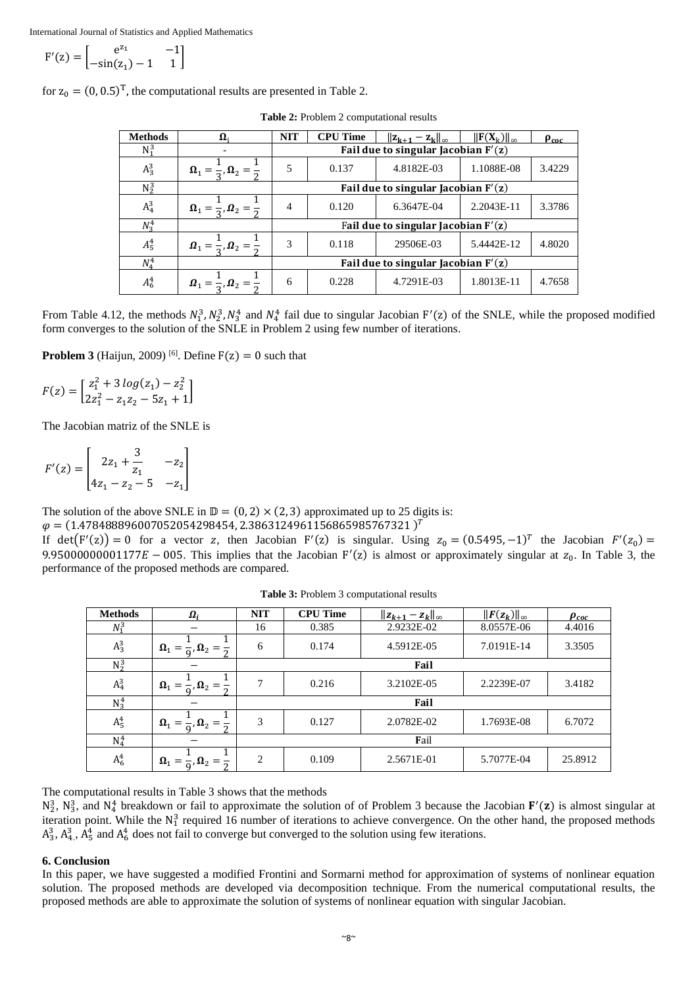$$
F'(z) = \begin{bmatrix} e^{z_1} & -1 \\ -\sin(z_1) - 1 & 1 \end{bmatrix}
$$

for  $z_0 = (0, 0.5)^T$ , the computational results are presented in Table 2.

| <b>Methods</b> | $\mathbf{\Omega}_{i}$                                  | <b>NIT</b>                            | <b>CPU Time</b> | $  \mathbf{z}_{k+1} - \mathbf{z}_k  _{\infty}$ | $\ \mathbf{F}(\mathbf{X}_k)\ _{\infty}$ | $\rho_{\rm coc}$ |  |  |
|----------------|--------------------------------------------------------|---------------------------------------|-----------------|------------------------------------------------|-----------------------------------------|------------------|--|--|
| $N_1^3$        |                                                        | Fail due to singular Jacobian $F'(z)$ |                 |                                                |                                         |                  |  |  |
| $A_3^3$        | $\Omega_1 = \frac{1}{2}$ , $\Omega_2 =$                | 5                                     | 0.137           | 4.8182E-03                                     | 1.1088E-08                              | 3.4229           |  |  |
| $N_2^3$        |                                                        | Fail due to singular Jacobian $F'(z)$ |                 |                                                |                                         |                  |  |  |
| $A_4^3$        | $\mathbf{\Omega}_1 = \frac{1}{2}, \mathbf{\Omega}_2 =$ | 4                                     | 0.120           | 6.3647E-04                                     | 2.2043E-11                              | 3.3786           |  |  |
| $N_3^4$        |                                                        | Fail due to singular Jacobian $F'(z)$ |                 |                                                |                                         |                  |  |  |
| $A_5^4$        | $\mathbf{\Omega}_1 = \frac{1}{2}, \mathbf{\Omega}_2 =$ | 3                                     | 0.118           | 29506E-03                                      | 5.4442E-12                              | 4.8020           |  |  |
| $N_4^4$        |                                                        | Fail due to singular Jacobian $F'(z)$ |                 |                                                |                                         |                  |  |  |
| $A_6^4$        | $\Omega_1 = \frac{1}{2}$ , $\Omega_2 =$                | 6                                     | 0.228           | 4.7291E-03                                     | 1.8013E-11                              | 4.7658           |  |  |

**Table 2:** Problem 2 computational results

From Table 4.12, the methods  $N_1^3$ ,  $N_2^3$ ,  $N_3^4$  and  $N_4^4$  fail due to singular Jacobian F'(z) of the SNLE, while the proposed modified form converges to the solution of the SNLE in Problem 2 using few number of iterations.

**Problem 3** (Haijun, 2009) <sup>[6]</sup>. Define  $F(z) = 0$  such that

$$
F(z) = \begin{bmatrix} z_1^2 + 3\log(z_1) - z_2^2\\ 2z_1^2 - z_1z_2 - 5z_1 + 1 \end{bmatrix}
$$

The Jacobian matriz of the SNLE is

$$
F'(z) = \begin{bmatrix} 2z_1 + \frac{3}{z_1} & -z_2 \\ 4z_1 - z_2 - 5 & -z_1 \end{bmatrix}
$$

The solution of the above SNLE in  $\mathbb{D} = (0, 2) \times (2, 3)$  approximated up to 25 digits is:

 $\varphi = (1.478488896007052054298454, 2.3863124961156865985767321)^T$ 

If  $det(F'(z)) = 0$  for a vector z, then Jacobian F'(z) is singular. Using  $z_0 = (0.5495, -1)^T$  the Jacobian  $F'(z_0) =$ 9.95000000001177E - 005. This implies that the Jacobian  $F'(z)$  is almost or approximately singular at  $z_0$ . In Table 3, the performance of the proposed methods are compared.

| <b>Methods</b>     | $\boldsymbol{\Omega}_i$                   | <b>NIT</b>     | <b>CPU Time</b> | $  z_{k+1} - z_k  _{\infty}$ | $  F(z_k)  _{\infty}$ | $\rho_{coc}$ |  |  |
|--------------------|-------------------------------------------|----------------|-----------------|------------------------------|-----------------------|--------------|--|--|
| $N_1^3$            |                                           | 16             | 0.385           | 2.9232E-02                   | 8.0557E-06            | 4.4016       |  |  |
| $A_3^3$            | $\Omega_1 =$<br>, $\mathbf{\Omega}_2 =$   | 6              | 0.174           | 4.5912E-05                   | 7.0191E-14            | 3.3505       |  |  |
| $\overline{N_2^3}$ |                                           | Fail           |                 |                              |                       |              |  |  |
| $A_4^3$            | $\Omega_1 =$<br>$\bm{\Omega}_2$           | 7              | 0.216           | 3.2102E-05                   | 2.2239E-07            | 3.4182       |  |  |
| $N_3^4$            |                                           | Fail           |                 |                              |                       |              |  |  |
| $A_5^4$            | $\Omega_1 =$<br>, , $\mathbf{\Omega}_2 =$ | 3              | 0.127           | 2.0782E-02                   | 1.7693E-08            | 6.7072       |  |  |
| $N_4^4$            |                                           | Fail           |                 |                              |                       |              |  |  |
| $A_6^4$            | $\Omega_1 = \frac{1}{0}, \Omega_2 =$      | $\overline{2}$ | 0.109           | 2.5671E-01                   | 5.7077E-04            | 25.8912      |  |  |

**Table 3:** Problem 3 computational results

The computational results in Table 3 shows that the methods

 $N_2^3$ ,  $N_3^3$ , and  $N_4^4$  breakdown or fail to approximate the solution of of Problem 3 because the Jacobian  $F'(z)$  is almost singular at iteration point. While the  $N_1^3$  required 16 number of iterations to achieve convergence. On the other hand, the proposed methods  $A_3^3$ ,  $A_4^3$ ,  $A_5^4$  and  $A_6^4$  does not fail to converge but converged to the solution using few iterations.

# **6. Conclusion**

In this paper, we have suggested a modified Frontini and Sormarni method for approximation of systems of nonlinear equation solution. The proposed methods are developed via decomposition technique. From the numerical computational results, the proposed methods are able to approximate the solution of systems of nonlinear equation with singular Jacobian.